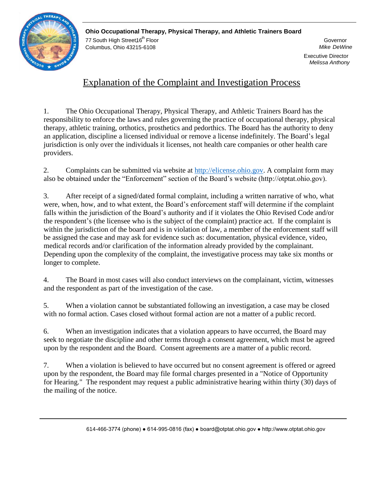

**Ohio Occupational Therapy, Physical Therapy, and Athletic Trainers Board**  77 South High Street16<sup>th</sup> Floor Governor Governor Governor Governor Governor Governor Columbus, Ohio 43215-6108 *Mike DeWine*

Executive Director *Melissa Anthony*

## Explanation of the Complaint and Investigation Process

1. The Ohio Occupational Therapy, Physical Therapy, and Athletic Trainers Board has the responsibility to enforce the laws and rules governing the practice of occupational therapy, physical therapy, athletic training, orthotics, prosthetics and pedorthics. The Board has the authority to deny an application, discipline a licensed individual or remove a license indefinitely. The Board's legal jurisdiction is only over the individuals it licenses, not health care companies or other health care providers.

2. Complaints can be submitted via website at [http://elicense.ohio.gov.](http://elicense.ohio.gov/) A complaint form may also be obtained under the "Enforcement" section of the Board's website (http://otptat.ohio.gov).

3. After receipt of a signed/dated formal complaint, including a written narrative of who, what were, when, how, and to what extent, the Board's enforcement staff will determine if the complaint falls within the jurisdiction of the Board's authority and if it violates the Ohio Revised Code and/or the respondent's (the licensee who is the subject of the complaint) practice act. If the complaint is within the jurisdiction of the board and is in violation of law, a member of the enforcement staff will be assigned the case and may ask for evidence such as: documentation, physical evidence, video, medical records and/or clarification of the information already provided by the complainant. Depending upon the complexity of the complaint, the investigative process may take six months or longer to complete.

4. The Board in most cases will also conduct interviews on the complainant, victim, witnesses and the respondent as part of the investigation of the case.

5. When a violation cannot be substantiated following an investigation, a case may be closed with no formal action. Cases closed without formal action are not a matter of a public record.

6. When an investigation indicates that a violation appears to have occurred, the Board may seek to negotiate the discipline and other terms through a consent agreement, which must be agreed upon by the respondent and the Board. Consent agreements are a matter of a public record.

7. When a violation is believed to have occurred but no consent agreement is offered or agreed upon by the respondent, the Board may file formal charges presented in a "Notice of Opportunity for Hearing." The respondent may request a public administrative hearing within thirty (30) days of the mailing of the notice.